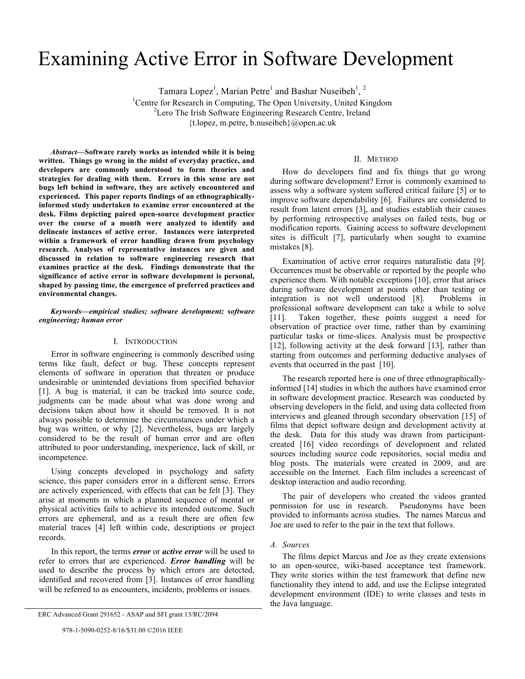# Examining Active Error in Software Development

Tamara Lopez<sup>1</sup>, Marian Petre<sup>1</sup> and Bashar Nuseibeh<sup>1</sup>, <sup>2</sup>

<sup>1</sup> Centre for Research in Computing, The Open University, United Kingdom  $\frac{2I}{r}$  are The Irish Seftware Engineering Besearch Centre, Ireland <sup>2</sup> Lero The Irish Software Engineering Research Centre, Ireland

{t.lopez, m.petre, b.nuseibeh}@open.ac.uk

*Abstract***—Software rarely works as intended while it is being written. Things go wrong in the midst of everyday practice, and developers are commonly understood to form theories and strategies for dealing with them. Errors in this sense are not bugs left behind in software, they are actively encountered and experienced. This paper reports findings of an ethnographicallyinformed study undertaken to examine error encountered at the desk. Films depicting paired open-source development practice over the course of a month were analyzed to identify and delineate instances of active error. Instances were interpreted within a framework of error handling drawn from psychology research. Analyses of representative instances are given and discussed in relation to software engineering research that examines practice at the desk. Findings demonstrate that the significance of active error in software development is personal, shaped by passing time, the emergence of preferred practices and environmental changes.**

## *Keywords—empirical studies; software development; software engineering; human error*

## I. INTRODUCTION

Error in software engineering is commonly described using terms like fault, defect or bug. These concepts represent elements of software in operation that threaten or produce undesirable or unintended deviations from specified behavior [1]. A bug is material, it can be tracked into source code, judgments can be made about what was done wrong and decisions taken about how it should be removed. It is not always possible to determine the circumstances under which a bug was written, or why [2]. Nevertheless, bugs are largely considered to be the result of human error and are often attributed to poor understanding, inexperience, lack of skill, or incompetence.

Using concepts developed in psychology and safety science, this paper considers error in a different sense. Errors are actively experienced, with effects that can be felt [3]. They arise at moments in which a planned sequence of mental or physical activities fails to achieve its intended outcome. Such errors are ephemeral, and as a result there are often few material traces [4] left within code, descriptions or project records.

In this report, the terms *error* or *active error* will be used to refer to errors that are experienced. *Error handling* will be used to describe the process by which errors are detected, identified and recovered from [3]. Instances of error handling will be referred to as encounters, incidents, problems or issues.

crownCrownIEEE

#### II. METHOD

How do developers find and fix things that go wrong during software development? Error is commonly examined to assess why a software system suffered critical failure [5] or to improve software dependability [6]. Failures are considered to result from latent errors [3], and studies establish their causes by performing retrospective analyses on failed tests, bug or modification reports. Gaining access to software development sites is difficult [7], particularly when sought to examine mistakes [8].

Examination of active error requires naturalistic data [9]. Occurrences must be observable or reported by the people who experience them. With notable exceptions [10], error that arises during software development at points other than testing or integration is not well understood [8]. Problems in professional software development can take a while to solve [11]. Taken together, these points suggest a need for observation of practice over time, rather than by examining particular tasks or time-slices. Analysis must be prospective [12], following activity at the desk forward [13], rather than starting from outcomes and performing deductive analyses of events that occurred in the past [10].

The research reported here is one of three ethnographicallyinformed [14] studies in which the authors have examined error in software development practice. Research was conducted by observing developers in the field, and using data collected from interviews and gleaned through secondary observation [15] of films that depict software design and development activity at the desk. Data for this study was drawn from participantcreated [16] video recordings of development and related sources including source code repositories, social media and blog posts. The materials were created in 2009, and are accessible on the Internet. Each film includes a screencast of desktop interaction and audio recording.

The pair of developers who created the videos granted permission for use in research. Pseudonyms have been provided to informants across studies. The names Marcus and Joe are used to refer to the pair in the text that follows.

#### *A. Sources*

The films depict Marcus and Joe as they create extensions to an open-source, wiki-based acceptance test framework. They write stories within the test framework that define new functionality they intend to add, and use the Eclipse integrated development environment (IDE) to write classes and tests in the Java language.

ERC Advanced Grant 291652 - ASAP and SFI grant 13/RC/2094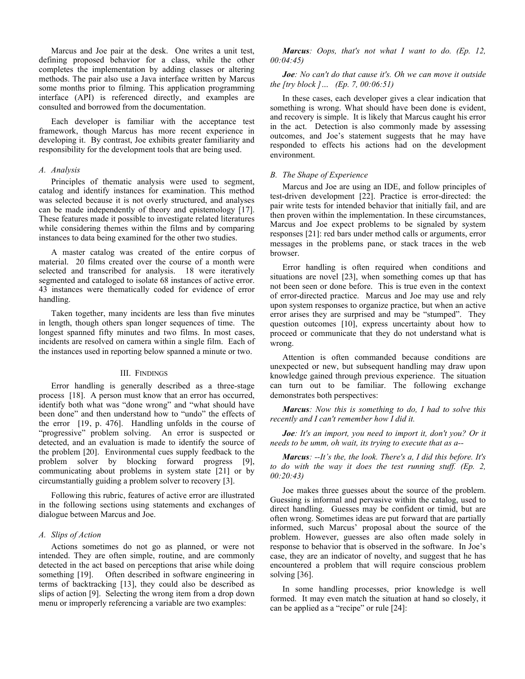Marcus and Joe pair at the desk. One writes a unit test, defining proposed behavior for a class, while the other completes the implementation by adding classes or altering methods. The pair also use a Java interface written by Marcus some months prior to filming. This application programming interface (API) is referenced directly, and examples are consulted and borrowed from the documentation.

Each developer is familiar with the acceptance test framework, though Marcus has more recent experience in developing it. By contrast, Joe exhibits greater familiarity and responsibility for the development tools that are being used.

## *A. Analysis*

Principles of thematic analysis were used to segment, catalog and identify instances for examination. This method was selected because it is not overly structured, and analyses can be made independently of theory and epistemology [17]. These features made it possible to investigate related literatures while considering themes within the films and by comparing instances to data being examined for the other two studies.

A master catalog was created of the entire corpus of material. 20 films created over the course of a month were selected and transcribed for analysis. 18 were iteratively segmented and cataloged to isolate 68 instances of active error. 43 instances were thematically coded for evidence of error handling.

Taken together, many incidents are less than five minutes in length, though others span longer sequences of time. The longest spanned fifty minutes and two films. In most cases, incidents are resolved on camera within a single film. Each of the instances used in reporting below spanned a minute or two.

## III. FINDINGS

Error handling is generally described as a three-stage process [18]. A person must know that an error has occurred, identify both what was "done wrong" and "what should have been done" and then understand how to "undo" the effects of the error [19, p. 476]. Handling unfolds in the course of "progressive" problem solving. An error is suspected or detected, and an evaluation is made to identify the source of the problem [20]. Environmental cues supply feedback to the problem solver by blocking forward progress [9], communicating about problems in system state [21] or by circumstantially guiding a problem solver to recovery [3].

Following this rubric, features of active error are illustrated in the following sections using statements and exchanges of dialogue between Marcus and Joe.

## *A. Slips of Action*

Actions sometimes do not go as planned, or were not intended. They are often simple, routine, and are commonly detected in the act based on perceptions that arise while doing something [19]. Often described in software engineering in terms of backtracking [13], they could also be described as slips of action [9]. Selecting the wrong item from a drop down menu or improperly referencing a variable are two examples:

*Marcus: Oops, that's not what I want to do. (Ep. 12, 00:04:45)* 

*Joe: No can't do that cause it's. Oh we can move it outside the [try block ]… (Ep. 7, 00:06:51)*

In these cases, each developer gives a clear indication that something is wrong. What should have been done is evident, and recovery is simple. It is likely that Marcus caught his error in the act. Detection is also commonly made by assessing outcomes, and Joe's statement suggests that he may have responded to effects his actions had on the development environment.

## *B. The Shape of Experience*

Marcus and Joe are using an IDE, and follow principles of test-driven development [22]. Practice is error-directed: the pair write tests for intended behavior that initially fail, and are then proven within the implementation. In these circumstances, Marcus and Joe expect problems to be signaled by system responses [21]: red bars under method calls or arguments, error messages in the problems pane, or stack traces in the web browser.

Error handling is often required when conditions and situations are novel [23], when something comes up that has not been seen or done before. This is true even in the context of error-directed practice. Marcus and Joe may use and rely upon system responses to organize practice, but when an active error arises they are surprised and may be "stumped". They question outcomes [10], express uncertainty about how to proceed or communicate that they do not understand what is wrong.

Attention is often commanded because conditions are unexpected or new, but subsequent handling may draw upon knowledge gained through previous experience. The situation can turn out to be familiar. The following exchange demonstrates both perspectives:

*Marcus: Now this is something to do, I had to solve this recently and I can't remember how I did it.*

*Joe: It's an import, you need to import it, don't you? Or it needs to be umm, oh wait, its trying to execute that as a--*

*Marcus: --It's the, the look. There's a, I did this before. It's to do with the way it does the test running stuff. (Ep. 2, 00:20:43)*

Joe makes three guesses about the source of the problem. Guessing is informal and pervasive within the catalog, used to direct handling. Guesses may be confident or timid, but are often wrong. Sometimes ideas are put forward that are partially informed, such Marcus' proposal about the source of the problem. However, guesses are also often made solely in response to behavior that is observed in the software. In Joe's case, they are an indicator of novelty, and suggest that he has encountered a problem that will require conscious problem solving [36].

In some handling processes, prior knowledge is well formed. It may even match the situation at hand so closely, it can be applied as a "recipe" or rule [24]: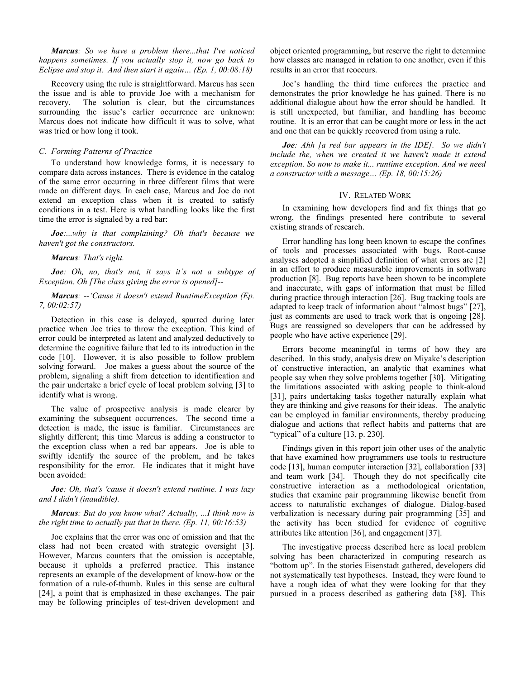*Marcus: So we have a problem there...that I've noticed happens sometimes. If you actually stop it, now go back to Eclipse and stop it. And then start it again… (Ep. 1, 00:08:18)*

Recovery using the rule is straightforward. Marcus has seen the issue and is able to provide Joe with a mechanism for recovery. The solution is clear, but the circumstances surrounding the issue's earlier occurrence are unknown: Marcus does not indicate how difficult it was to solve, what was tried or how long it took.

## *C. Forming Patterns of Practice*

To understand how knowledge forms, it is necessary to compare data across instances. There is evidence in the catalog of the same error occurring in three different films that were made on different days. In each case, Marcus and Joe do not extend an exception class when it is created to satisfy conditions in a test. Here is what handling looks like the first time the error is signaled by a red bar:

*Joe:...why is that complaining? Oh that's because we haven't got the constructors.*

#### *Marcus: That's right.*

*Joe: Oh, no, that's not, it says it's not a subtype of Exception. Oh [The class giving the error is opened]--*

## *Marcus: --'Cause it doesn't extend RuntimeException (Ep. 7, 00:02:57)*

Detection in this case is delayed, spurred during later practice when Joe tries to throw the exception. This kind of error could be interpreted as latent and analyzed deductively to determine the cognitive failure that led to its introduction in the code [10]. However, it is also possible to follow problem solving forward. Joe makes a guess about the source of the problem, signaling a shift from detection to identification and the pair undertake a brief cycle of local problem solving [3] to identify what is wrong.

The value of prospective analysis is made clearer by examining the subsequent occurrences. The second time a detection is made, the issue is familiar. Circumstances are slightly different; this time Marcus is adding a constructor to the exception class when a red bar appears. Joe is able to swiftly identify the source of the problem, and he takes responsibility for the error. He indicates that it might have been avoided:

## *Joe: Oh, that's 'cause it doesn't extend runtime. I was lazy and I didn't (inaudible).*

## *Marcus: But do you know what? Actually, ...I think now is the right time to actually put that in there. (Ep. 11, 00:16:53)*

Joe explains that the error was one of omission and that the class had not been created with strategic oversight [3]. However, Marcus counters that the omission is acceptable, because it upholds a preferred practice. This instance represents an example of the development of know-how or the formation of a rule-of-thumb. Rules in this sense are cultural [24], a point that is emphasized in these exchanges. The pair may be following principles of test-driven development and

object oriented programming, but reserve the right to determine how classes are managed in relation to one another, even if this results in an error that reoccurs.

Joe's handling the third time enforces the practice and demonstrates the prior knowledge he has gained. There is no additional dialogue about how the error should be handled. It is still unexpected, but familiar, and handling has become routine. It is an error that can be caught more or less in the act and one that can be quickly recovered from using a rule.

*Joe: Ahh [a red bar appears in the IDE]. So we didn't include the, when we created it we haven't made it extend exception. So now to make it... runtime exception. And we need a constructor with a message… (Ep. 18, 00:15:26)*

## IV. RELATED WORK

In examining how developers find and fix things that go wrong, the findings presented here contribute to several existing strands of research.

Error handling has long been known to escape the confines of tools and processes associated with bugs. Root-cause analyses adopted a simplified definition of what errors are [2] in an effort to produce measurable improvements in software production [8]. Bug reports have been shown to be incomplete and inaccurate, with gaps of information that must be filled during practice through interaction [26]. Bug tracking tools are adapted to keep track of information about "almost bugs" [27], just as comments are used to track work that is ongoing [28]. Bugs are reassigned so developers that can be addressed by people who have active experience [29].

Errors become meaningful in terms of how they are described. In this study, analysis drew on Miyake's description of constructive interaction, an analytic that examines what people say when they solve problems together [30]. Mitigating the limitations associated with asking people to think-aloud [31], pairs undertaking tasks together naturally explain what they are thinking and give reasons for their ideas. The analytic can be employed in familiar environments, thereby producing dialogue and actions that reflect habits and patterns that are "typical" of a culture [13, p. 230].

Findings given in this report join other uses of the analytic that have examined how programmers use tools to restructure code [13], human computer interaction [32], collaboration [33] and team work [34]. Though they do not specifically cite constructive interaction as a methodological orientation, studies that examine pair programming likewise benefit from access to naturalistic exchanges of dialogue. Dialog-based verbalization is necessary during pair programming [35] and the activity has been studied for evidence of cognitive attributes like attention [36], and engagement [37].

The investigative process described here as local problem solving has been characterized in computing research as "bottom up". In the stories Eisenstadt gathered, developers did not systematically test hypotheses. Instead, they were found to have a rough idea of what they were looking for that they pursued in a process described as gathering data [38]. This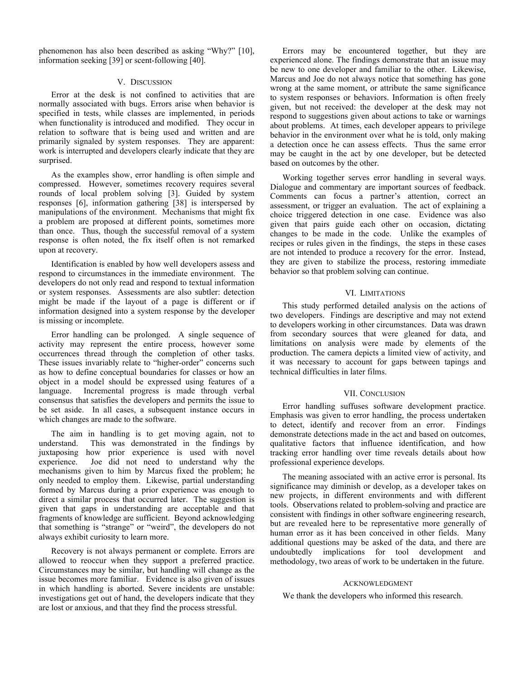phenomenon has also been described as asking "Why?" [10], information seeking [39] or scent-following [40].

## V. DISCUSSION

Error at the desk is not confined to activities that are normally associated with bugs. Errors arise when behavior is specified in tests, while classes are implemented, in periods when functionality is introduced and modified. They occur in relation to software that is being used and written and are primarily signaled by system responses. They are apparent: work is interrupted and developers clearly indicate that they are surprised.

As the examples show, error handling is often simple and compressed. However, sometimes recovery requires several rounds of local problem solving [3]. Guided by system responses [6], information gathering [38] is interspersed by manipulations of the environment. Mechanisms that might fix a problem are proposed at different points, sometimes more than once. Thus, though the successful removal of a system response is often noted, the fix itself often is not remarked upon at recovery.

Identification is enabled by how well developers assess and respond to circumstances in the immediate environment. The developers do not only read and respond to textual information or system responses. Assessments are also subtler: detection might be made if the layout of a page is different or if information designed into a system response by the developer is missing or incomplete.

Error handling can be prolonged. A single sequence of activity may represent the entire process, however some occurrences thread through the completion of other tasks. These issues invariably relate to "higher-order" concerns such as how to define conceptual boundaries for classes or how an object in a model should be expressed using features of a language. Incremental progress is made through verbal consensus that satisfies the developers and permits the issue to be set aside. In all cases, a subsequent instance occurs in which changes are made to the software.

The aim in handling is to get moving again, not to understand. This was demonstrated in the findings by juxtaposing how prior experience is used with novel experience. Joe did not need to understand why the mechanisms given to him by Marcus fixed the problem; he only needed to employ them. Likewise, partial understanding formed by Marcus during a prior experience was enough to direct a similar process that occurred later. The suggestion is given that gaps in understanding are acceptable and that fragments of knowledge are sufficient. Beyond acknowledging that something is "strange" or "weird", the developers do not always exhibit curiosity to learn more.

Recovery is not always permanent or complete. Errors are allowed to reoccur when they support a preferred practice. Circumstances may be similar, but handling will change as the issue becomes more familiar. Evidence is also given of issues in which handling is aborted. Severe incidents are unstable: investigations get out of hand, the developers indicate that they are lost or anxious, and that they find the process stressful.

Errors may be encountered together, but they are experienced alone. The findings demonstrate that an issue may be new to one developer and familiar to the other. Likewise, Marcus and Joe do not always notice that something has gone wrong at the same moment, or attribute the same significance to system responses or behaviors. Information is often freely given, but not received: the developer at the desk may not respond to suggestions given about actions to take or warnings about problems. At times, each developer appears to privilege behavior in the environment over what he is told, only making a detection once he can assess effects. Thus the same error may be caught in the act by one developer, but be detected based on outcomes by the other.

Working together serves error handling in several ways. Dialogue and commentary are important sources of feedback. Comments can focus a partner's attention, correct an assessment, or trigger an evaluation. The act of explaining a choice triggered detection in one case. Evidence was also given that pairs guide each other on occasion, dictating changes to be made in the code. Unlike the examples of recipes or rules given in the findings, the steps in these cases are not intended to produce a recovery for the error. Instead, they are given to stabilize the process, restoring immediate behavior so that problem solving can continue.

## VI. LIMITATIONS

This study performed detailed analysis on the actions of two developers. Findings are descriptive and may not extend to developers working in other circumstances. Data was drawn from secondary sources that were gleaned for data, and limitations on analysis were made by elements of the production. The camera depicts a limited view of activity, and it was necessary to account for gaps between tapings and technical difficulties in later films.

#### VII. CONCLUSION

Error handling suffuses software development practice. Emphasis was given to error handling, the process undertaken to detect, identify and recover from an error. Findings demonstrate detections made in the act and based on outcomes, qualitative factors that influence identification, and how tracking error handling over time reveals details about how professional experience develops.

The meaning associated with an active error is personal. Its significance may diminish or develop, as a developer takes on new projects, in different environments and with different tools. Observations related to problem-solving and practice are consistent with findings in other software engineering research, but are revealed here to be representative more generally of human error as it has been conceived in other fields. Many additional questions may be asked of the data, and there are undoubtedly implications for tool development and methodology, two areas of work to be undertaken in the future.

#### ACKNOWLEDGMENT

We thank the developers who informed this research.